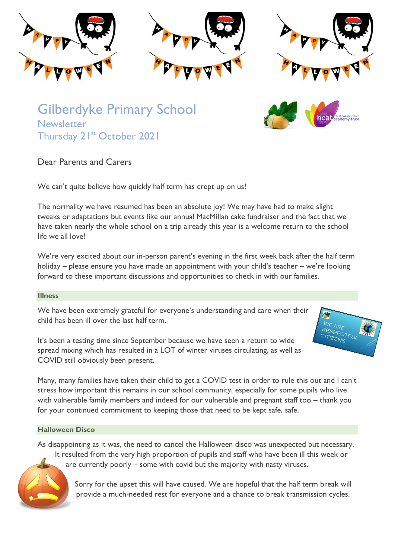

Gilberdyke Primary School **Newsletter** Thursday 21st October 2021



# Dear Parents and Carers

We can't quite believe how quickly half term has crept up on us!

The normality we have resumed has been an absolute joy! We may have had to make slight tweaks or adaptations but events like our annual MacMillan cake fundraiser and the fact that we have taken nearly the whole school on a trip already this year is a welcome return to the school life we all love!

We're very excited about our in-person parent's evening in the first week back after the half term holiday – please ensure you have made an appointment with your child's teacher – we're looking forward to these important discussions and opportunities to check in with our families.

## **Illness**

We have been extremely grateful for everyone's understanding and care when their child has been ill over the last half term.

It's been a testing time since September because we have seen a return to wide spread mixing which has resulted in a LOT of winter viruses circulating, as well as COVID still obviously been present.

Many, many families have taken their child to get a COVID test in order to rule this out and I can't stress how important this remains in our school community, especially for some pupils who live with vulnerable family members and indeed for our vulnerable and pregnant staff too – thank you for your continued commitment to keeping those that need to be kept safe, safe.

## **Halloween Disco**

As disappointing as it was, the need to cancel the Halloween disco was unexpected but necessary. It resulted from the very high proportion of pupils and staff who have been ill this week or are currently poorly – some with covid but the majority with nasty viruses.

> Sorry for the upset this will have caused. We are hopeful that the half term break will provide a much-needed rest for everyone and a chance to break transmission cycles.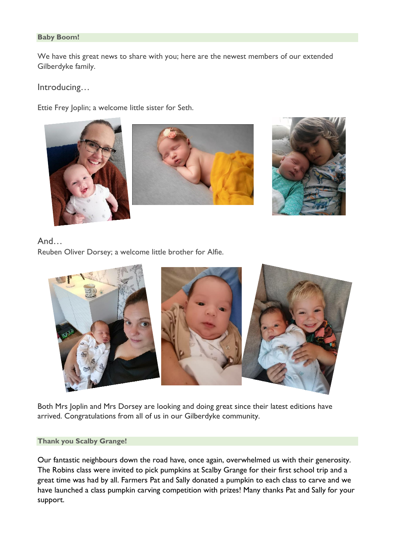# **Baby Boom!**

We have this great news to share with you; here are the newest members of our extended Gilberdyke family.

Introducing…

Ettie Frey Joplin; a welcome little sister for Seth.



# And…

Reuben Oliver Dorsey; a welcome little brother for Alfie.



Both Mrs Joplin and Mrs Dorsey are looking and doing great since their latest editions have arrived. Congratulations from all of us in our Gilberdyke community.

## **Thank you Scalby Grange!**

Our fantastic neighbours down the road have, once again, overwhelmed us with their generosity. The Robins class were invited to pick pumpkins at Scalby Grange for their first school trip and a great time was had by all. Farmers Pat and Sally donated a pumpkin to each class to carve and we have launched a class pumpkin carving competition with prizes! Many thanks Pat and Sally for your support.